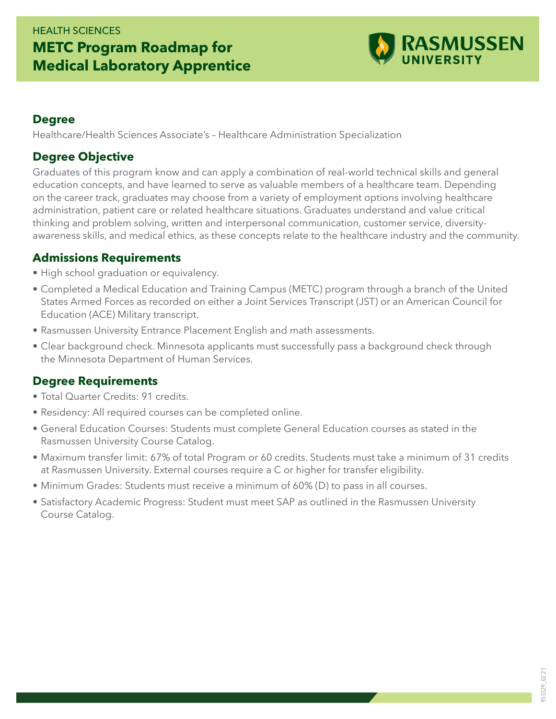### HEALTH SCIENCES **METC Program Roadmap for Medical Laboratory Apprentice**



#### **Degree**

Healthcare/Health Sciences Associate's – Healthcare Administration Specialization

#### **Degree Objective**

Graduates of this program know and can apply a combination of real-world technical skills and general education concepts, and have learned to serve as valuable members of a healthcare team. Depending on the career track, graduates may choose from a variety of employment options involving healthcare administration, patient care or related healthcare situations. Graduates understand and value critical thinking and problem solving, written and interpersonal communication, customer service, diversityawareness skills, and medical ethics, as these concepts relate to the healthcare industry and the community.

#### **Admissions Requirements**

- High school graduation or equivalency.
- Completed a Medical Education and Training Campus (METC) program through a branch of the United States Armed Forces as recorded on either a Joint Services Transcript (JST) or an American Council for Education (ACE) Military transcript.
- Rasmussen University Entrance Placement English and math assessments.
- Clear background check. Minnesota applicants must successfully pass a background check through the Minnesota Department of Human Services.

#### **Degree Requirements**

- Total Quarter Credits: 91 credits.
- Residency: All required courses can be completed online.
- General Education Courses: Students must complete General Education courses as stated in the Rasmussen University Course Catalog.
- Maximum transfer limit: 67% of total Program or 60 credits. Students must take a minimum of 31 credits at Rasmussen University. External courses require a C or higher for transfer eligibility.
- Minimum Grades: Students must receive a minimum of 60% (D) to pass in all courses.
- Satisfactory Academic Progress: Student must meet SAP as outlined in the Rasmussen University Course Catalog.